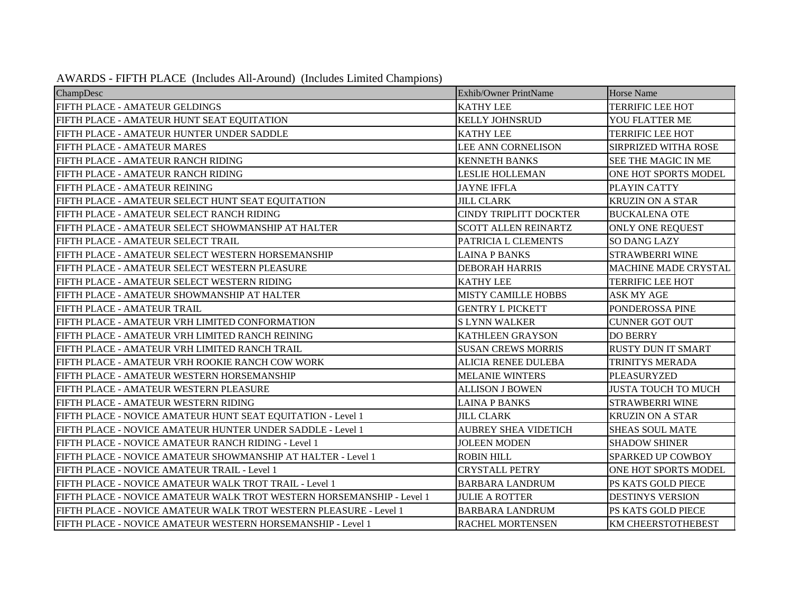| AWARDS - FIFTH PLACE (Includes All-Around) (Includes Limited Champions) |  |  |  |
|-------------------------------------------------------------------------|--|--|--|
|-------------------------------------------------------------------------|--|--|--|

| ChampDesc                                                             | Exhib/Owner PrintName         | <b>Horse Name</b>           |
|-----------------------------------------------------------------------|-------------------------------|-----------------------------|
| FIFTH PLACE - AMATEUR GELDINGS                                        | <b>KATHY LEE</b>              | <b>TERRIFIC LEE HOT</b>     |
| FIFTH PLACE - AMATEUR HUNT SEAT EQUITATION                            | <b>KELLY JOHNSRUD</b>         | <b>YOU FLATTER ME</b>       |
| FIFTH PLACE - AMATEUR HUNTER UNDER SADDLE                             | <b>KATHY LEE</b>              | <b>TERRIFIC LEE HOT</b>     |
| FIFTH PLACE - AMATEUR MARES                                           | <b>LEE ANN CORNELISON</b>     | SIRPRIZED WITHA ROSE        |
| FIFTH PLACE - AMATEUR RANCH RIDING                                    | <b>KENNETH BANKS</b>          | <b>SEE THE MAGIC IN ME</b>  |
| FIFTH PLACE - AMATEUR RANCH RIDING                                    | <b>LESLIE HOLLEMAN</b>        | ONE HOT SPORTS MODEL        |
| FIFTH PLACE - AMATEUR REINING                                         | <b>JAYNE IFFLA</b>            | PLAYIN CATTY                |
| FIFTH PLACE - AMATEUR SELECT HUNT SEAT EQUITATION                     | <b>JILL CLARK</b>             | <b>KRUZIN ON A STAR</b>     |
| FIFTH PLACE - AMATEUR SELECT RANCH RIDING                             | <b>CINDY TRIPLITT DOCKTER</b> | <b>BUCKALENA OTE</b>        |
| FIFTH PLACE - AMATEUR SELECT SHOWMANSHIP AT HALTER                    | SCOTT ALLEN REINARTZ          | <b>ONLY ONE REQUEST</b>     |
| FIFTH PLACE - AMATEUR SELECT TRAIL                                    | PATRICIA L CLEMENTS           | <b>SO DANG LAZY</b>         |
| FIFTH PLACE - AMATEUR SELECT WESTERN HORSEMANSHIP                     | <b>LAINA P BANKS</b>          | <b>STRAWBERRI WINE</b>      |
| FIFTH PLACE - AMATEUR SELECT WESTERN PLEASURE                         | <b>DEBORAH HARRIS</b>         | <b>MACHINE MADE CRYSTAL</b> |
| FIFTH PLACE - AMATEUR SELECT WESTERN RIDING                           | <b>KATHY LEE</b>              | <b>TERRIFIC LEE HOT</b>     |
| FIFTH PLACE - AMATEUR SHOWMANSHIP AT HALTER                           | <b>MISTY CAMILLE HOBBS</b>    | ASK MY AGE                  |
| FIFTH PLACE - AMATEUR TRAIL                                           | <b>GENTRY L PICKETT</b>       | PONDEROSSA PINE             |
| FIFTH PLACE - AMATEUR VRH LIMITED CONFORMATION                        | <b>SLYNN WALKER</b>           | <b>CUNNER GOT OUT</b>       |
| FIFTH PLACE - AMATEUR VRH LIMITED RANCH REINING                       | KATHLEEN GRAYSON              | <b>DO BERRY</b>             |
| FIFTH PLACE - AMATEUR VRH LIMITED RANCH TRAIL                         | <b>SUSAN CREWS MORRIS</b>     | <b>RUSTY DUN IT SMART</b>   |
| FIFTH PLACE - AMATEUR VRH ROOKIE RANCH COW WORK                       | <b>ALICIA RENEE DULEBA</b>    | TRINITYS MERADA             |
| FIFTH PLACE - AMATEUR WESTERN HORSEMANSHIP                            | <b>MELANIE WINTERS</b>        | PLEASURYZED                 |
| FIFTH PLACE - AMATEUR WESTERN PLEASURE                                | <b>ALLISON J BOWEN</b>        | <b>JUSTA TOUCH TO MUCH</b>  |
| FIFTH PLACE - AMATEUR WESTERN RIDING                                  | <b>LAINA P BANKS</b>          | <b>STRAWBERRI WINE</b>      |
| FIFTH PLACE - NOVICE AMATEUR HUNT SEAT EQUITATION - Level 1           | <b>JILL CLARK</b>             | <b>KRUZIN ON A STAR</b>     |
| FIFTH PLACE - NOVICE AMATEUR HUNTER UNDER SADDLE - Level 1            | <b>AUBREY SHEA VIDETICH</b>   | <b>SHEAS SOUL MATE</b>      |
| FIFTH PLACE - NOVICE AMATEUR RANCH RIDING - Level 1                   | <b>JOLEEN MODEN</b>           | <b>SHADOW SHINER</b>        |
| FIFTH PLACE - NOVICE AMATEUR SHOWMANSHIP AT HALTER - Level 1          | <b>ROBIN HILL</b>             | <b>SPARKED UP COWBOY</b>    |
| FIFTH PLACE - NOVICE AMATEUR TRAIL - Level 1                          | <b>CRYSTALL PETRY</b>         | ONE HOT SPORTS MODEL        |
| FIFTH PLACE - NOVICE AMATEUR WALK TROT TRAIL - Level 1                | <b>BARBARA LANDRUM</b>        | PS KATS GOLD PIECE          |
| FIFTH PLACE - NOVICE AMATEUR WALK TROT WESTERN HORSEMANSHIP - Level 1 | <b>JULIE A ROTTER</b>         | <b>DESTINYS VERSION</b>     |
| FIFTH PLACE - NOVICE AMATEUR WALK TROT WESTERN PLEASURE - Level 1     | <b>BARBARA LANDRUM</b>        | PS KATS GOLD PIECE          |
| FIFTH PLACE - NOVICE AMATEUR WESTERN HORSEMANSHIP - Level 1           | <b>RACHEL MORTENSEN</b>       | <b>KM CHEERSTOTHEBEST</b>   |